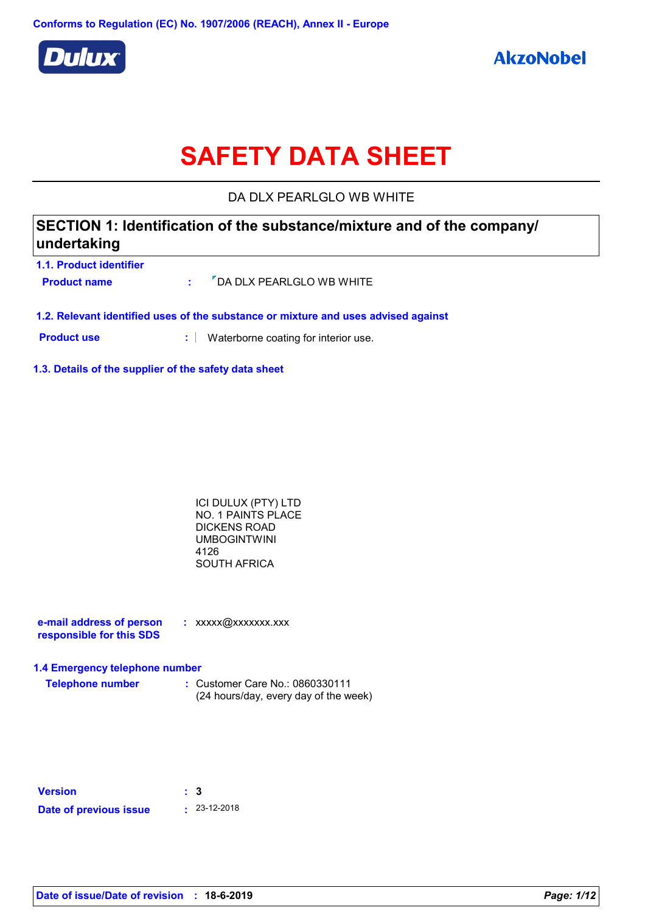

# **SAFETY DATA SHEET**

DA DLX PEARLGLO WB WHITE

## **SECTION 1: Identification of the substance/mixture and of the company/ undertaking**

| 1.1. Product identifier |                                                   |
|-------------------------|---------------------------------------------------|
| <b>Product name</b>     | $\frac{1}{2}$ $\sqrt{2}$ DA DLX PEARLGLO WB WHITE |
|                         |                                                   |

**1.2. Relevant identified uses of the substance or mixture and uses advised against**

**Product use <b>:** Waterborne coating for interior use.

#### **1.3. Details of the supplier of the safety data sheet**

ICI DULUX (PTY) LTD NO. 1 PAINTS PLACE DICKENS ROAD UMBOGINTWINI 4126 SOUTH AFRICA

**e-mail address of person responsible for this SDS :** xxxxx@xxxxxxx.xxx

#### **1.4 Emergency telephone number**

**Telephone number :** Customer Care No.: 0860330111 (24 hours/day, every day of the week)

| <b>Version</b>         | : 3 |                    |
|------------------------|-----|--------------------|
| Date of previous issue |     | $\cdot$ 23-12-2018 |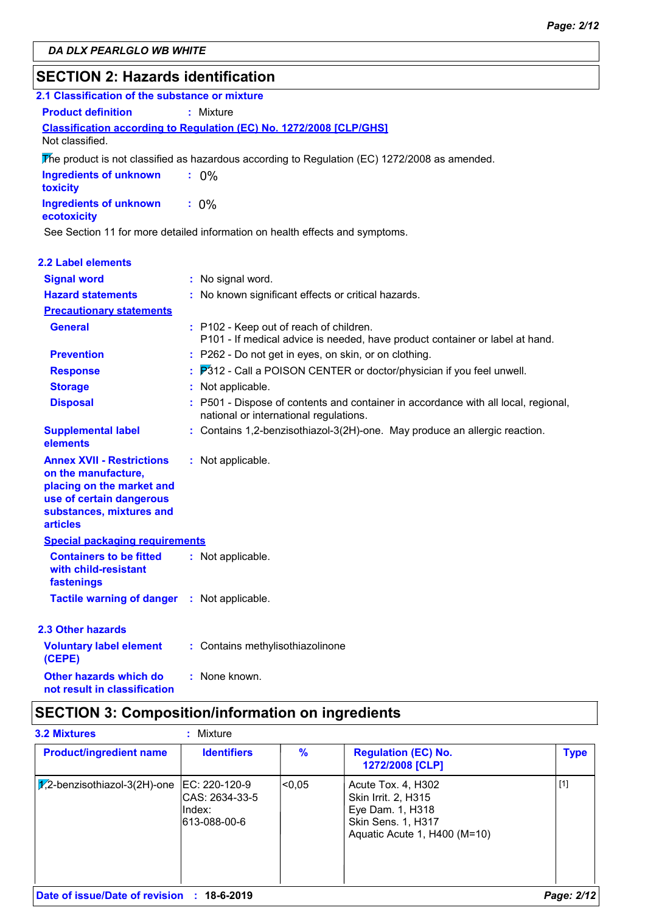### **SECTION 2: Hazards identification**

| 2.1 Classification of the substance or mixture                                                                                                                  |                                                                                                                            |
|-----------------------------------------------------------------------------------------------------------------------------------------------------------------|----------------------------------------------------------------------------------------------------------------------------|
| <b>Product definition</b>                                                                                                                                       | : Mixture                                                                                                                  |
|                                                                                                                                                                 | Classification according to Regulation (EC) No. 1272/2008 [CLP/GHS]                                                        |
| Not classified.                                                                                                                                                 |                                                                                                                            |
|                                                                                                                                                                 | The product is not classified as hazardous according to Regulation (EC) $1272/2008$ as amended.                            |
| <b>Ingredients of unknown</b><br>toxicity                                                                                                                       | $: 0\%$                                                                                                                    |
| <b>Ingredients of unknown</b><br>ecotoxicity                                                                                                                    | $: 0\%$                                                                                                                    |
|                                                                                                                                                                 | See Section 11 for more detailed information on health effects and symptoms.                                               |
| <b>2.2 Label elements</b>                                                                                                                                       |                                                                                                                            |
| <b>Signal word</b>                                                                                                                                              | : No signal word.                                                                                                          |
| <b>Hazard statements</b>                                                                                                                                        | : No known significant effects or critical hazards.                                                                        |
| <b>Precautionary statements</b>                                                                                                                                 |                                                                                                                            |
| <b>General</b>                                                                                                                                                  | : P102 - Keep out of reach of children.<br>P101 - If medical advice is needed, have product container or label at hand.    |
| <b>Prevention</b>                                                                                                                                               | : P262 - Do not get in eyes, on skin, or on clothing.                                                                      |
| <b>Response</b>                                                                                                                                                 | P312 - Call a POISON CENTER or doctor/physician if you feel unwell.                                                        |
| <b>Storage</b>                                                                                                                                                  | : Not applicable.                                                                                                          |
| <b>Disposal</b>                                                                                                                                                 | P501 - Dispose of contents and container in accordance with all local, regional,<br>national or international regulations. |
| <b>Supplemental label</b><br>elements                                                                                                                           | : Contains 1,2-benzisothiazol-3(2H)-one. May produce an allergic reaction.                                                 |
| <b>Annex XVII - Restrictions</b><br>on the manufacture,<br>placing on the market and<br>use of certain dangerous<br>substances, mixtures and<br><b>articles</b> | : Not applicable.                                                                                                          |
| <b>Special packaging requirements</b>                                                                                                                           |                                                                                                                            |
| <b>Containers to be fitted</b><br>with child-resistant<br>fastenings                                                                                            | : Not applicable.                                                                                                          |
| <b>Tactile warning of danger</b>                                                                                                                                | : Not applicable.                                                                                                          |
| 2.3 Other hazards                                                                                                                                               |                                                                                                                            |
| <b>Voluntary label element</b><br>(CEPE)                                                                                                                        | : Contains methylisothiazolinone                                                                                           |
| <b>Other hazards which do</b>                                                                                                                                   | : None known.                                                                                                              |

### **not result in classification**

## **SECTION 3: Composition/information on ingredients**

| <b>3.2 Mixtures</b>                        | : Mixture                                                  |               |                                                                                                                            |             |
|--------------------------------------------|------------------------------------------------------------|---------------|----------------------------------------------------------------------------------------------------------------------------|-------------|
| <b>Product/ingredient name</b>             | <b>Identifiers</b>                                         | $\frac{9}{6}$ | <b>Regulation (EC) No.</b><br>1272/2008 [CLP]                                                                              | <b>Type</b> |
| $ \mathcal{J}_2$ -benzisothiazol-3(2H)-one | EC: 220-120-9<br>CAS: 2634-33-5<br>lIndex:<br>613-088-00-6 | < 0.05        | Acute Tox. 4, H302<br>Skin Irrit. 2, H315<br>Eye Dam. 1, H318<br><b>Skin Sens. 1, H317</b><br>Aquatic Acute 1, H400 (M=10) | $[1]$       |
| Date of issue/Date of revision : 18-6-2019 |                                                            |               |                                                                                                                            | Page: 2/12  |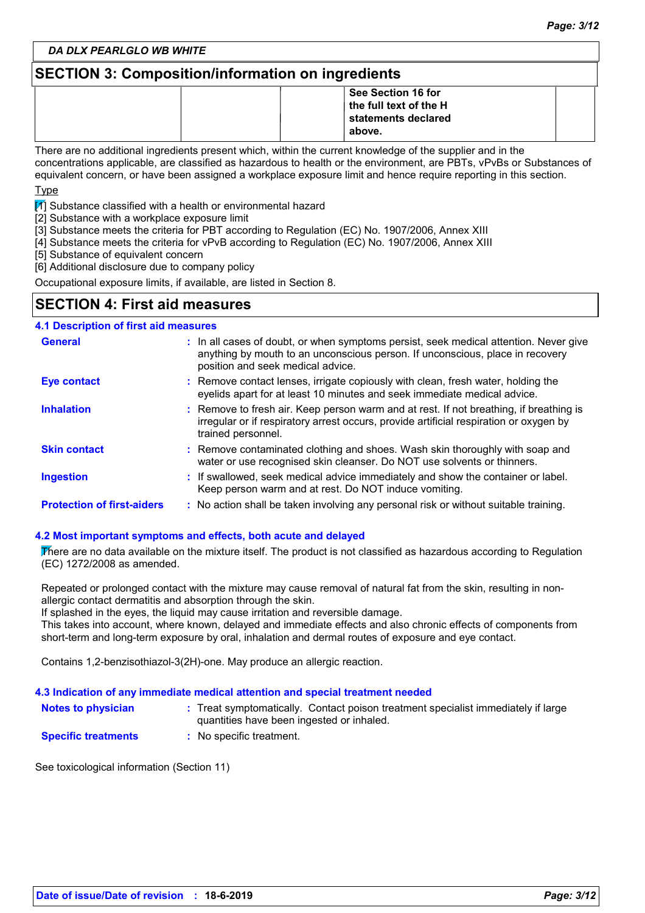### **SECTION 3: Composition/information on ingredients**

|  | See Section 16 for<br>the full text of the H<br>statements declared<br>' above. |  |
|--|---------------------------------------------------------------------------------|--|
|--|---------------------------------------------------------------------------------|--|

There are no additional ingredients present which, within the current knowledge of the supplier and in the concentrations applicable, are classified as hazardous to health or the environment, are PBTs, vPvBs or Substances of equivalent concern, or have been assigned a workplace exposure limit and hence require reporting in this section.

Type

 $\mathbb{I}$  Substance classified with a health or environmental hazard

[2] Substance with a workplace exposure limit

[3] Substance meets the criteria for PBT according to Regulation (EC) No. 1907/2006, Annex XIII

[4] Substance meets the criteria for vPvB according to Regulation (EC) No. 1907/2006, Annex XIII

[5] Substance of equivalent concern

[6] Additional disclosure due to company policy

Occupational exposure limits, if available, are listed in Section 8.

### **SECTION 4: First aid measures**

| <b>4.1 Description of first aid measures</b> |                                                                                                                                                                                                             |  |  |  |
|----------------------------------------------|-------------------------------------------------------------------------------------------------------------------------------------------------------------------------------------------------------------|--|--|--|
| <b>General</b>                               | : In all cases of doubt, or when symptoms persist, seek medical attention. Never give<br>anything by mouth to an unconscious person. If unconscious, place in recovery<br>position and seek medical advice. |  |  |  |
| <b>Eye contact</b>                           | : Remove contact lenses, irrigate copiously with clean, fresh water, holding the<br>eyelids apart for at least 10 minutes and seek immediate medical advice.                                                |  |  |  |
| <b>Inhalation</b>                            | : Remove to fresh air. Keep person warm and at rest. If not breathing, if breathing is<br>irregular or if respiratory arrest occurs, provide artificial respiration or oxygen by<br>trained personnel.      |  |  |  |
| <b>Skin contact</b>                          | : Remove contaminated clothing and shoes. Wash skin thoroughly with soap and<br>water or use recognised skin cleanser. Do NOT use solvents or thinners.                                                     |  |  |  |
| <b>Ingestion</b>                             | : If swallowed, seek medical advice immediately and show the container or label.<br>Keep person warm and at rest. Do NOT induce vomiting.                                                                   |  |  |  |
| <b>Protection of first-aiders</b>            | : No action shall be taken involving any personal risk or without suitable training.                                                                                                                        |  |  |  |

### **4.2 Most important symptoms and effects, both acute and delayed**

There are no data available on the mixture itself. The product is not classified as hazardous according to Regulation (EC) 1272/2008 as amended.

Repeated or prolonged contact with the mixture may cause removal of natural fat from the skin, resulting in nonallergic contact dermatitis and absorption through the skin.

If splashed in the eyes, the liquid may cause irritation and reversible damage.

This takes into account, where known, delayed and immediate effects and also chronic effects of components from short-term and long-term exposure by oral, inhalation and dermal routes of exposure and eye contact.

Contains 1,2-benzisothiazol-3(2H)-one. May produce an allergic reaction.

#### **4.3 Indication of any immediate medical attention and special treatment needed**

| <b>Notes to physician</b> |                                           | Treat symptomatically. Contact poison treatment specialist immediately if large |
|---------------------------|-------------------------------------------|---------------------------------------------------------------------------------|
|                           | quantities have been ingested or inhaled. |                                                                                 |

**Specific treatments :** No specific treatment.

See toxicological information (Section 11)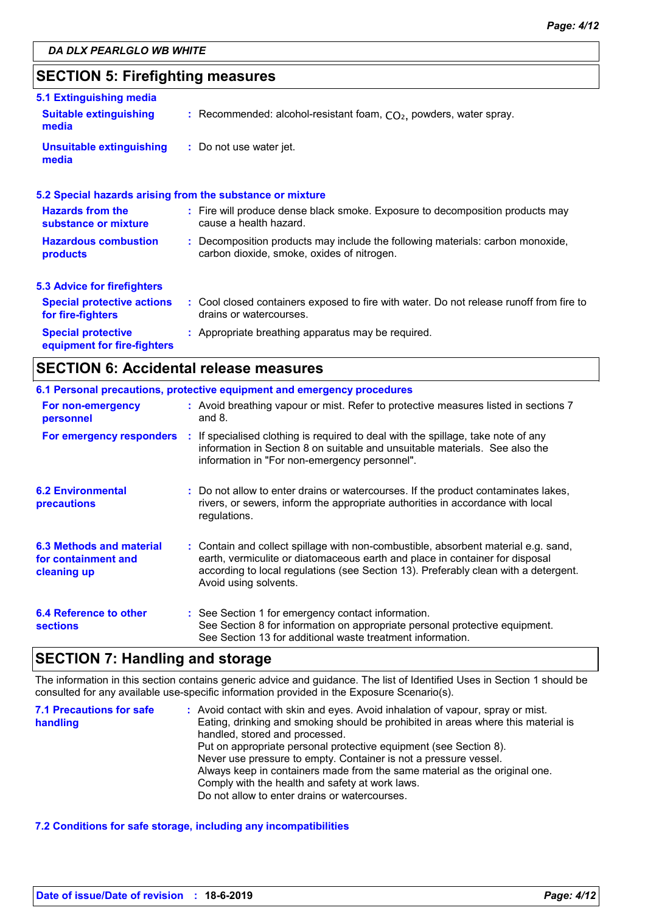### **SECTION 5: Firefighting measures**

| 5.1 Extinguishing media                                  |                                                                                                                              |
|----------------------------------------------------------|------------------------------------------------------------------------------------------------------------------------------|
| <b>Suitable extinguishing</b><br>media                   | : Recommended: alcohol-resistant foam, $CO2$ , powders, water spray.                                                         |
| <b>Unsuitable extinguishing</b><br>media                 | : Do not use water jet.                                                                                                      |
|                                                          | 5.2 Special hazards arising from the substance or mixture                                                                    |
| <b>Hazards from the</b><br>substance or mixture          | : Fire will produce dense black smoke. Exposure to decomposition products may<br>cause a health hazard.                      |
| <b>Hazardous combustion</b><br>products                  | : Decomposition products may include the following materials: carbon monoxide,<br>carbon dioxide, smoke, oxides of nitrogen. |
| <b>5.3 Advice for firefighters</b>                       |                                                                                                                              |
| <b>Special protective actions</b><br>for fire-fighters   | : Cool closed containers exposed to fire with water. Do not release runoff from fire to<br>drains or watercourses.           |
| <b>Special protective</b><br>equipment for fire-fighters | : Appropriate breathing apparatus may be required.                                                                           |

### **SECTION 6: Accidental release measures**

|                                                                | 6.1 Personal precautions, protective equipment and emergency procedures                                                                                                                                                                                                            |
|----------------------------------------------------------------|------------------------------------------------------------------------------------------------------------------------------------------------------------------------------------------------------------------------------------------------------------------------------------|
| For non-emergency<br>personnel                                 | : Avoid breathing vapour or mist. Refer to protective measures listed in sections 7<br>and $8.$                                                                                                                                                                                    |
|                                                                | For emergency responders : If specialised clothing is required to deal with the spillage, take note of any<br>information in Section 8 on suitable and unsuitable materials. See also the<br>information in "For non-emergency personnel".                                         |
| <b>6.2 Environmental</b><br>precautions                        | : Do not allow to enter drains or watercourses. If the product contaminates lakes,<br>rivers, or sewers, inform the appropriate authorities in accordance with local<br>regulations.                                                                                               |
| 6.3 Methods and material<br>for containment and<br>cleaning up | : Contain and collect spillage with non-combustible, absorbent material e.g. sand,<br>earth, vermiculite or diatomaceous earth and place in container for disposal<br>according to local regulations (see Section 13). Preferably clean with a detergent.<br>Avoid using solvents. |
| 6.4 Reference to other<br><b>sections</b>                      | : See Section 1 for emergency contact information.<br>See Section 8 for information on appropriate personal protective equipment.<br>See Section 13 for additional waste treatment information.                                                                                    |

### **SECTION 7: Handling and storage**

The information in this section contains generic advice and guidance. The list of Identified Uses in Section 1 should be consulted for any available use-specific information provided in the Exposure Scenario(s).

| <b>7.1 Precautions for safe</b> | : Avoid contact with skin and eyes. Avoid inhalation of vapour, spray or mist.    |
|---------------------------------|-----------------------------------------------------------------------------------|
| handling                        | Eating, drinking and smoking should be prohibited in areas where this material is |
|                                 | handled, stored and processed.                                                    |
|                                 | Put on appropriate personal protective equipment (see Section 8).                 |
|                                 | Never use pressure to empty. Container is not a pressure vessel.                  |
|                                 | Always keep in containers made from the same material as the original one.        |
|                                 | Comply with the health and safety at work laws.                                   |
|                                 | Do not allow to enter drains or watercourses.                                     |

#### **7.2 Conditions for safe storage, including any incompatibilities**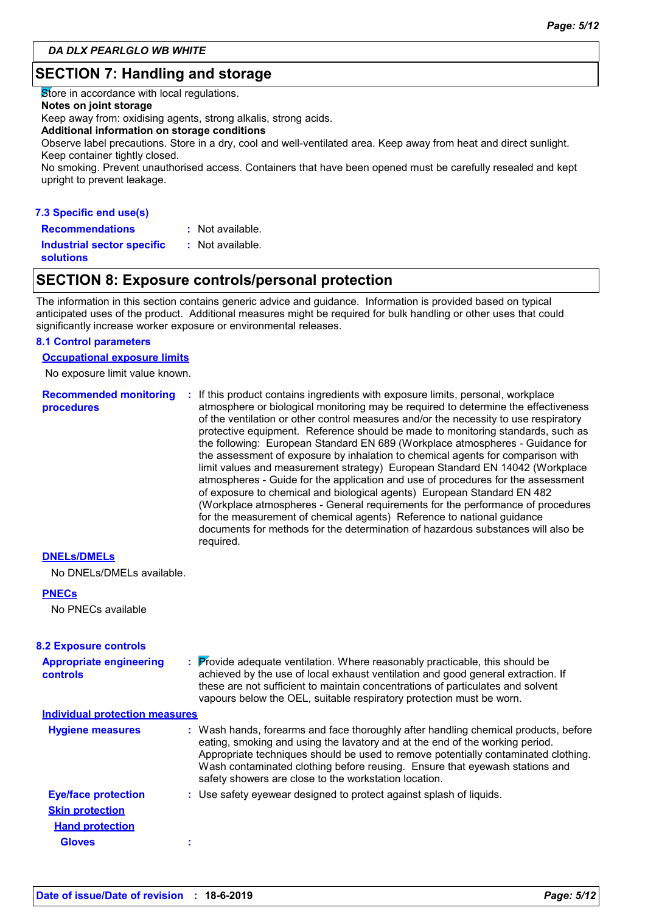### **SECTION 7: Handling and storage**

Store in accordance with local regulations.

#### **Notes on joint storage**

Keep away from: oxidising agents, strong alkalis, strong acids.

#### **Additional information on storage conditions**

Observe label precautions. Store in a dry, cool and well-ventilated area. Keep away from heat and direct sunlight. Keep container tightly closed.

No smoking. Prevent unauthorised access. Containers that have been opened must be carefully resealed and kept upright to prevent leakage.

### **7.3 Specific end use(s) Recommendations :**

: Not available.

**Industrial sector specific : solutions**

### **SECTION 8: Exposure controls/personal protection**

: Not available.

The information in this section contains generic advice and guidance. Information is provided based on typical anticipated uses of the product. Additional measures might be required for bulk handling or other uses that could significantly increase worker exposure or environmental releases.

### **8.1 Control parameters**

**Occupational exposure limits**

No exposure limit value known.

**Recommended monitoring procedures :** If this product contains ingredients with exposure limits, personal, workplace atmosphere or biological monitoring may be required to determine the effectiveness of the ventilation or other control measures and/or the necessity to use respiratory protective equipment. Reference should be made to monitoring standards, such as the following: European Standard EN 689 (Workplace atmospheres - Guidance for the assessment of exposure by inhalation to chemical agents for comparison with limit values and measurement strategy) European Standard EN 14042 (Workplace atmospheres - Guide for the application and use of procedures for the assessment of exposure to chemical and biological agents) European Standard EN 482 (Workplace atmospheres - General requirements for the performance of procedures for the measurement of chemical agents) Reference to national guidance documents for methods for the determination of hazardous substances will also be required.

#### **DNELs/DMELs**

No DNELs/DMELs available.

#### **PNECs**

No PNECs available

| <b>8.2 Exposure controls</b>                      |                                                                                                                                                                                                                                                                                                                                                                                                   |
|---------------------------------------------------|---------------------------------------------------------------------------------------------------------------------------------------------------------------------------------------------------------------------------------------------------------------------------------------------------------------------------------------------------------------------------------------------------|
| <b>Appropriate engineering</b><br><b>controls</b> | : Provide adequate ventilation. Where reasonably practicable, this should be<br>achieved by the use of local exhaust ventilation and good general extraction. If<br>these are not sufficient to maintain concentrations of particulates and solvent<br>vapours below the OEL, suitable respiratory protection must be worn.                                                                       |
| <b>Individual protection measures</b>             |                                                                                                                                                                                                                                                                                                                                                                                                   |
| <b>Hygiene measures</b>                           | : Wash hands, forearms and face thoroughly after handling chemical products, before<br>eating, smoking and using the lavatory and at the end of the working period.<br>Appropriate techniques should be used to remove potentially contaminated clothing.<br>Wash contaminated clothing before reusing. Ensure that eyewash stations and<br>safety showers are close to the workstation location. |
| <b>Eye/face protection</b>                        | : Use safety eyewear designed to protect against splash of liquids.                                                                                                                                                                                                                                                                                                                               |
| <b>Skin protection</b>                            |                                                                                                                                                                                                                                                                                                                                                                                                   |
| <b>Hand protection</b>                            |                                                                                                                                                                                                                                                                                                                                                                                                   |
| <b>Gloves</b>                                     |                                                                                                                                                                                                                                                                                                                                                                                                   |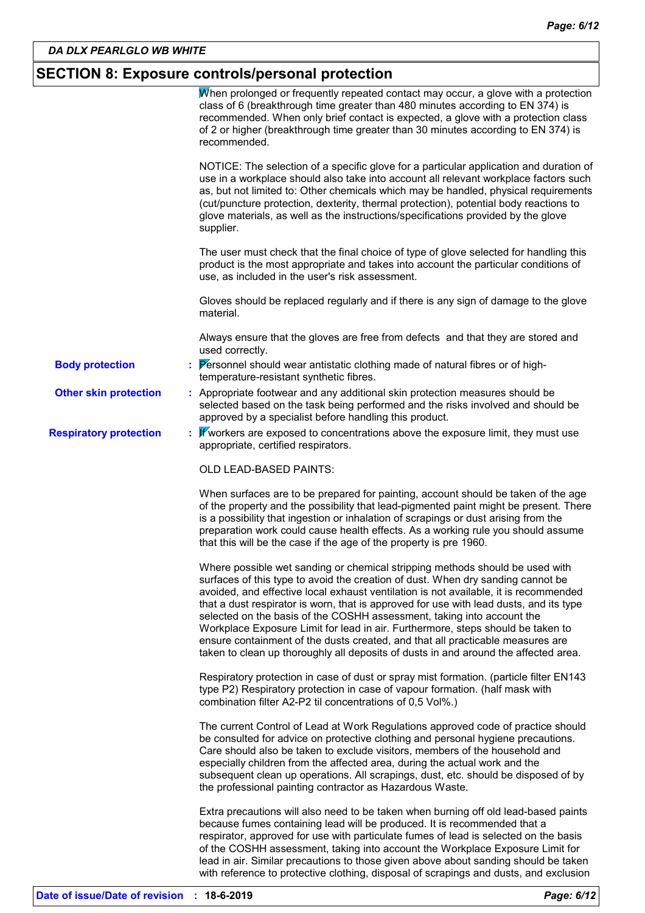## **SECTION 8: Exposure controls/personal protection**

|                               | When prolonged or frequently repeated contact may occur, a glove with a protection<br>class of 6 (breakthrough time greater than 480 minutes according to EN 374) is<br>recommended. When only brief contact is expected, a glove with a protection class<br>of 2 or higher (breakthrough time greater than 30 minutes according to EN 374) is<br>recommended.                                                                                                                                                                                                                                                                                                                          |
|-------------------------------|-----------------------------------------------------------------------------------------------------------------------------------------------------------------------------------------------------------------------------------------------------------------------------------------------------------------------------------------------------------------------------------------------------------------------------------------------------------------------------------------------------------------------------------------------------------------------------------------------------------------------------------------------------------------------------------------|
|                               | NOTICE: The selection of a specific glove for a particular application and duration of<br>use in a workplace should also take into account all relevant workplace factors such<br>as, but not limited to: Other chemicals which may be handled, physical requirements<br>(cut/puncture protection, dexterity, thermal protection), potential body reactions to<br>glove materials, as well as the instructions/specifications provided by the glove<br>supplier.                                                                                                                                                                                                                        |
|                               | The user must check that the final choice of type of glove selected for handling this<br>product is the most appropriate and takes into account the particular conditions of<br>use, as included in the user's risk assessment.                                                                                                                                                                                                                                                                                                                                                                                                                                                         |
|                               | Gloves should be replaced regularly and if there is any sign of damage to the glove<br>material.                                                                                                                                                                                                                                                                                                                                                                                                                                                                                                                                                                                        |
|                               | Always ensure that the gloves are free from defects and that they are stored and<br>used correctly.                                                                                                                                                                                                                                                                                                                                                                                                                                                                                                                                                                                     |
| <b>Body protection</b>        | : Personnel should wear antistatic clothing made of natural fibres or of high-<br>temperature-resistant synthetic fibres.                                                                                                                                                                                                                                                                                                                                                                                                                                                                                                                                                               |
| <b>Other skin protection</b>  | : Appropriate footwear and any additional skin protection measures should be<br>selected based on the task being performed and the risks involved and should be<br>approved by a specialist before handling this product.                                                                                                                                                                                                                                                                                                                                                                                                                                                               |
| <b>Respiratory protection</b> | Will workers are exposed to concentrations above the exposure limit, they must use<br>appropriate, certified respirators.                                                                                                                                                                                                                                                                                                                                                                                                                                                                                                                                                               |
|                               | OLD LEAD-BASED PAINTS:                                                                                                                                                                                                                                                                                                                                                                                                                                                                                                                                                                                                                                                                  |
|                               | When surfaces are to be prepared for painting, account should be taken of the age<br>of the property and the possibility that lead-pigmented paint might be present. There<br>is a possibility that ingestion or inhalation of scrapings or dust arising from the<br>preparation work could cause health effects. As a working rule you should assume<br>that this will be the case if the age of the property is pre 1960.                                                                                                                                                                                                                                                             |
|                               | Where possible wet sanding or chemical stripping methods should be used with<br>surfaces of this type to avoid the creation of dust. When dry sanding cannot be<br>avoided, and effective local exhaust ventilation is not available, it is recommended<br>that a dust respirator is worn, that is approved for use with lead dusts, and its type<br>selected on the basis of the COSHH assessment, taking into account the<br>Workplace Exposure Limit for lead in air. Furthermore, steps should be taken to<br>ensure containment of the dusts created, and that all practicable measures are<br>taken to clean up thoroughly all deposits of dusts in and around the affected area. |
|                               | Respiratory protection in case of dust or spray mist formation. (particle filter EN143<br>type P2) Respiratory protection in case of vapour formation. (half mask with<br>combination filter A2-P2 til concentrations of 0,5 Vol%.)                                                                                                                                                                                                                                                                                                                                                                                                                                                     |
|                               | The current Control of Lead at Work Regulations approved code of practice should<br>be consulted for advice on protective clothing and personal hygiene precautions.<br>Care should also be taken to exclude visitors, members of the household and<br>especially children from the affected area, during the actual work and the<br>subsequent clean up operations. All scrapings, dust, etc. should be disposed of by<br>the professional painting contractor as Hazardous Waste.                                                                                                                                                                                                     |
|                               | Extra precautions will also need to be taken when burning off old lead-based paints<br>because fumes containing lead will be produced. It is recommended that a<br>respirator, approved for use with particulate fumes of lead is selected on the basis<br>of the COSHH assessment, taking into account the Workplace Exposure Limit for<br>lead in air. Similar precautions to those given above about sanding should be taken<br>with reference to protective clothing, disposal of scrapings and dusts, and exclusion                                                                                                                                                                |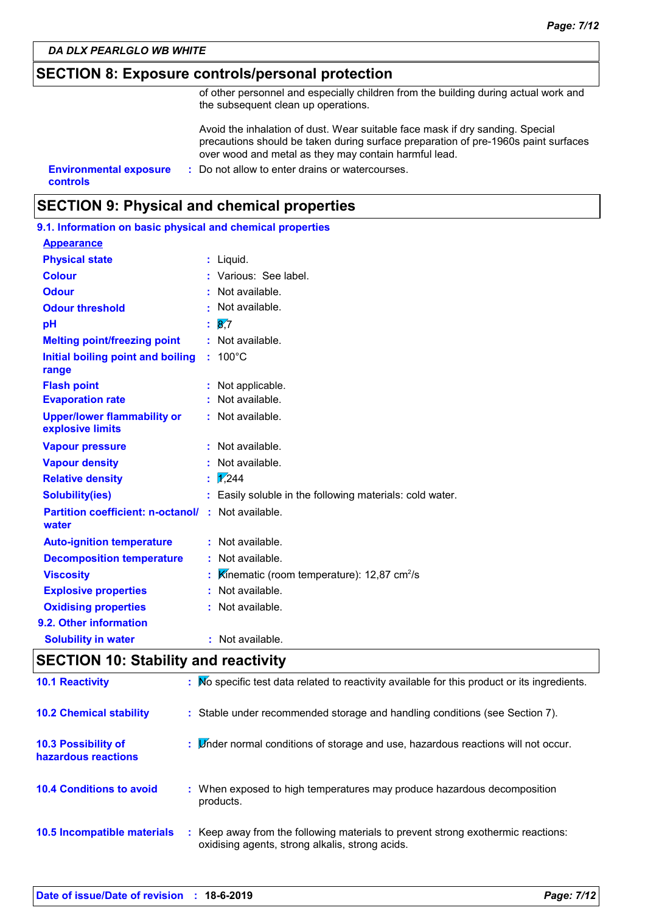### **SECTION 8: Exposure controls/personal protection**

of other personnel and especially children from the building during actual work and the subsequent clean up operations.

Avoid the inhalation of dust. Wear suitable face mask if dry sanding. Special precautions should be taken during surface preparation of pre-1960s paint surfaces over wood and metal as they may contain harmful lead.

**controls**

**Environmental exposure : Do not allow to enter drains or watercourses.** 

### **SECTION 9: Physical and chemical properties**

| 9.1. Information on basic physical and chemical properties |  |                                                          |  |
|------------------------------------------------------------|--|----------------------------------------------------------|--|
| <b>Appearance</b>                                          |  |                                                          |  |
| <b>Physical state</b>                                      |  | : Liquid.                                                |  |
| <b>Colour</b>                                              |  | : Various: See label.                                    |  |
| <b>Odour</b>                                               |  | : Not available.                                         |  |
| <b>Odour threshold</b>                                     |  | Not available.                                           |  |
| рH                                                         |  | $\overline{8}$ .7                                        |  |
| <b>Melting point/freezing point</b>                        |  | : Not available.                                         |  |
| Initial boiling point and boiling<br>range                 |  | $: 100^{\circ}$ C                                        |  |
| <b>Flash point</b>                                         |  | Not applicable.                                          |  |
| <b>Evaporation rate</b>                                    |  | Not available.                                           |  |
| <b>Upper/lower flammability or</b><br>explosive limits     |  | : Not available.                                         |  |
| <b>Vapour pressure</b>                                     |  | : Not available.                                         |  |
| <b>Vapour density</b>                                      |  | : Not available.                                         |  |
| <b>Relative density</b>                                    |  | $\frac{1}{2}$ ,244                                       |  |
| <b>Solubility(ies)</b>                                     |  | : Easily soluble in the following materials: cold water. |  |
| <b>Partition coefficient: n-octanol/</b><br>water          |  | : Not available.                                         |  |
| <b>Auto-ignition temperature</b>                           |  | : Not available.                                         |  |
| <b>Decomposition temperature</b>                           |  | : Not available.                                         |  |
| <b>Viscosity</b>                                           |  | Kinematic (room temperature): $12,87$ cm <sup>2</sup> /s |  |
| <b>Explosive properties</b>                                |  | : Not available.                                         |  |
| <b>Oxidising properties</b>                                |  | : Not available.                                         |  |
| 9.2. Other information                                     |  |                                                          |  |
| <b>Solubility in water</b>                                 |  | Not available.                                           |  |
|                                                            |  |                                                          |  |

### **SECTION 10: Stability and reactivity**

| <b>10.1 Reactivity</b>                            | : No specific test data related to reactivity available for this product or its ingredients.                                        |
|---------------------------------------------------|-------------------------------------------------------------------------------------------------------------------------------------|
| <b>10.2 Chemical stability</b>                    | : Stable under recommended storage and handling conditions (see Section 7).                                                         |
| <b>10.3 Possibility of</b><br>hazardous reactions | : Linder normal conditions of storage and use, hazardous reactions will not occur.                                                  |
| <b>10.4 Conditions to avoid</b>                   | : When exposed to high temperatures may produce hazardous decomposition<br>products.                                                |
| 10.5 Incompatible materials                       | : Keep away from the following materials to prevent strong exothermic reactions:<br>oxidising agents, strong alkalis, strong acids. |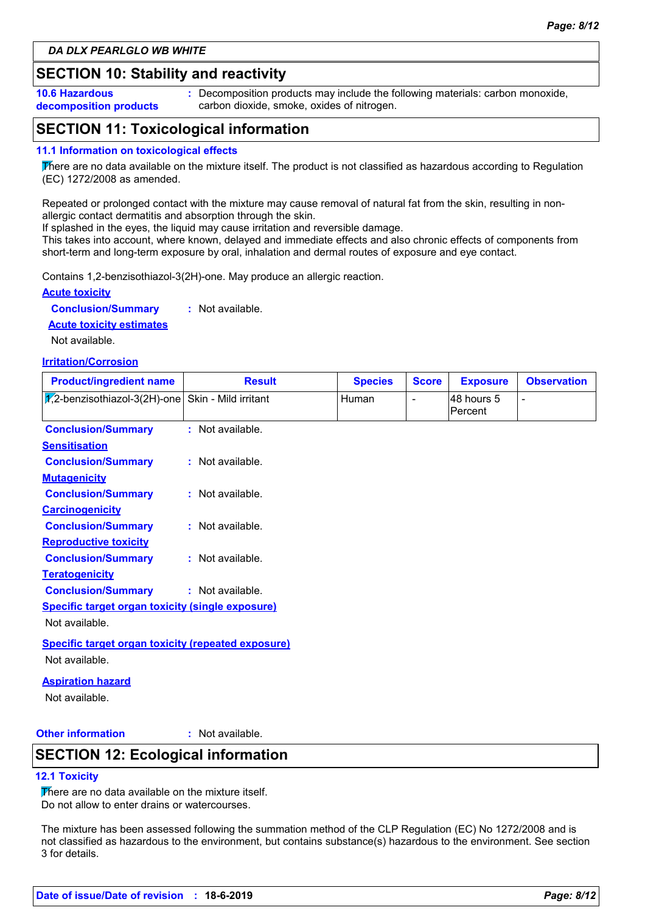### **SECTION 10: Stability and reactivity**

**10.6 Hazardous decomposition products** **:** Decomposition products may include the following materials: carbon monoxide, carbon dioxide, smoke, oxides of nitrogen.

### **SECTION 11: Toxicological information**

#### **11.1 Information on toxicological effects**

There are no data available on the mixture itself. The product is not classified as hazardous according to Regulation (EC) 1272/2008 as amended.

Repeated or prolonged contact with the mixture may cause removal of natural fat from the skin, resulting in nonallergic contact dermatitis and absorption through the skin.

If splashed in the eyes, the liquid may cause irritation and reversible damage.

This takes into account, where known, delayed and immediate effects and also chronic effects of components from short-term and long-term exposure by oral, inhalation and dermal routes of exposure and eye contact.

Contains 1,2-benzisothiazol-3(2H)-one. May produce an allergic reaction.

#### **Acute toxicity**

**Conclusion/Summary :** Not available.

#### **Acute toxicity estimates**

Not available.

#### **Irritation/Corrosion**

| <b>Product/ingredient name</b>                              | <b>Result</b>    | <b>Species</b> | <b>Score</b> | <b>Exposure</b>       | <b>Observation</b> |
|-------------------------------------------------------------|------------------|----------------|--------------|-----------------------|--------------------|
| $\sqrt{1/2}$ -benzisothiazol-3(2H)-one Skin - Mild irritant |                  | Human          |              | 48 hours 5<br>Percent |                    |
| <b>Conclusion/Summary</b>                                   | : Not available. |                |              |                       |                    |
| <b>Sensitisation</b>                                        |                  |                |              |                       |                    |
| <b>Conclusion/Summary</b>                                   | : Not available. |                |              |                       |                    |
| <b>Mutagenicity</b>                                         |                  |                |              |                       |                    |
| <b>Conclusion/Summary</b>                                   | : Not available. |                |              |                       |                    |
| <b>Carcinogenicity</b>                                      |                  |                |              |                       |                    |
| <b>Conclusion/Summary</b>                                   | : Not available. |                |              |                       |                    |
| <b>Reproductive toxicity</b>                                |                  |                |              |                       |                    |
| <b>Conclusion/Summary</b>                                   | : Not available. |                |              |                       |                    |
| <b>Teratogenicity</b>                                       |                  |                |              |                       |                    |
| <b>Conclusion/Summary</b>                                   | : Not available. |                |              |                       |                    |
| <b>Specific target organ toxicity (single exposure)</b>     |                  |                |              |                       |                    |
| Not available.                                              |                  |                |              |                       |                    |
| <b>Specific target organ toxicity (repeated exposure)</b>   |                  |                |              |                       |                    |
| Not available.                                              |                  |                |              |                       |                    |
| <b>Aspiration hazard</b>                                    |                  |                |              |                       |                    |

### Not available.

#### **Other information :** : Not available.

### **SECTION 12: Ecological information**

#### **12.1 Toxicity**

There are no data available on the mixture itself. Do not allow to enter drains or watercourses.

The mixture has been assessed following the summation method of the CLP Regulation (EC) No 1272/2008 and is not classified as hazardous to the environment, but contains substance(s) hazardous to the environment. See section 3 for details.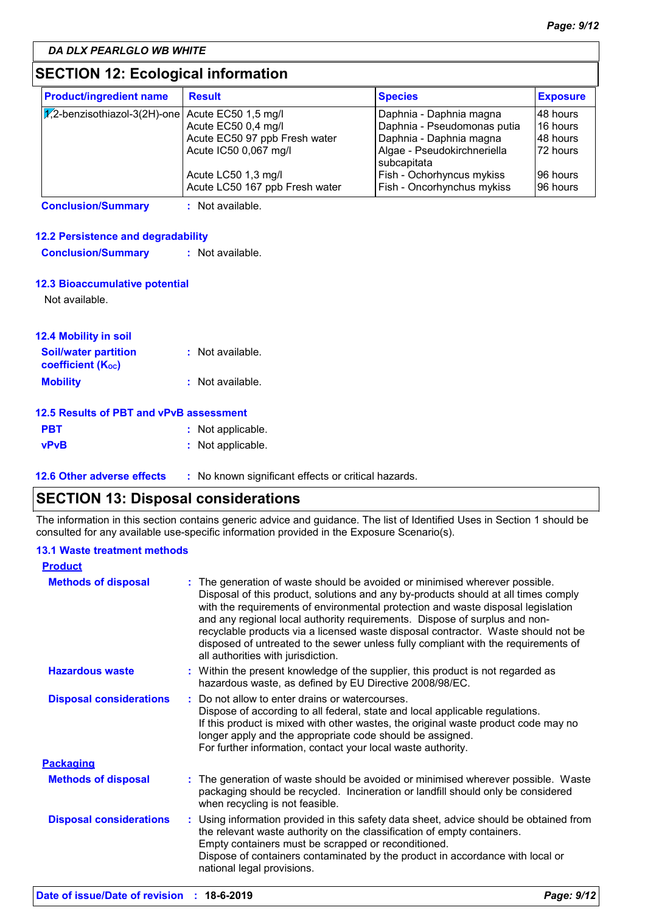### **SECTION 12: Ecological information**

| <b>Product/ingredient name</b>                                             | <b>Result</b>                  | <b>Species</b>              | <b>Exposure</b> |
|----------------------------------------------------------------------------|--------------------------------|-----------------------------|-----------------|
| $ \overline{\mathcal{V}}_1$ 2-benzisothiazol-3(2H)-one Acute EC50 1,5 mg/l |                                | Daphnia - Daphnia magna     | I48 hours       |
|                                                                            | Acute EC50 0,4 mg/l            | Daphnia - Pseudomonas putia | l 16 hours      |
|                                                                            | Acute EC50 97 ppb Fresh water  | Daphnia - Daphnia magna     | I48 hours       |
|                                                                            | Acute IC50 0,067 mg/l          | Algae - Pseudokirchneriella | 172 hours       |
|                                                                            |                                | l subcapitata               |                 |
|                                                                            | Acute LC50 1,3 mg/l            | Fish - Ochorhyncus mykiss   | 196 hours       |
|                                                                            | Acute LC50 167 ppb Fresh water | Fish - Oncorhynchus mykiss  | 196 hours       |

**Conclusion/Summary :** Not available.

#### **12.2 Persistence and degradability**

| <b>Conclusion/Summary</b> | : Not available. |
|---------------------------|------------------|
|                           |                  |

### **12.3 Bioaccumulative potential**

Not available.

| <b>12.4 Mobility in soil</b>                          |                  |
|-------------------------------------------------------|------------------|
| <b>Soil/water partition</b><br>coefficient $(K_{oc})$ | : Not available. |
| <b>Mobility</b>                                       | : Not available. |

### **12.5 Results of PBT and vPvB assessment**

| <b>PBT</b> | : Not applicable. |
|------------|-------------------|
| vPvB       | : Not applicable. |

**12.6 Other adverse effects** : No known significant effects or critical hazards.

### **SECTION 13: Disposal considerations**

The information in this section contains generic advice and guidance. The list of Identified Uses in Section 1 should be consulted for any available use-specific information provided in the Exposure Scenario(s).

### **13.1 Waste treatment methods**

| <b>Product</b>                 |                                                                                                                                                                                                                                                                                                                                                                                                                                                                                                                                                      |
|--------------------------------|------------------------------------------------------------------------------------------------------------------------------------------------------------------------------------------------------------------------------------------------------------------------------------------------------------------------------------------------------------------------------------------------------------------------------------------------------------------------------------------------------------------------------------------------------|
| <b>Methods of disposal</b>     | : The generation of waste should be avoided or minimised wherever possible.<br>Disposal of this product, solutions and any by-products should at all times comply<br>with the requirements of environmental protection and waste disposal legislation<br>and any regional local authority requirements. Dispose of surplus and non-<br>recyclable products via a licensed waste disposal contractor. Waste should not be<br>disposed of untreated to the sewer unless fully compliant with the requirements of<br>all authorities with jurisdiction. |
| <b>Hazardous waste</b>         | : Within the present knowledge of the supplier, this product is not regarded as<br>hazardous waste, as defined by EU Directive 2008/98/EC.                                                                                                                                                                                                                                                                                                                                                                                                           |
| <b>Disposal considerations</b> | : Do not allow to enter drains or watercourses.<br>Dispose of according to all federal, state and local applicable regulations.<br>If this product is mixed with other wastes, the original waste product code may no<br>longer apply and the appropriate code should be assigned.<br>For further information, contact your local waste authority.                                                                                                                                                                                                   |
| <b>Packaging</b>               |                                                                                                                                                                                                                                                                                                                                                                                                                                                                                                                                                      |
| <b>Methods of disposal</b>     | : The generation of waste should be avoided or minimised wherever possible. Waste<br>packaging should be recycled. Incineration or landfill should only be considered<br>when recycling is not feasible.                                                                                                                                                                                                                                                                                                                                             |
| <b>Disposal considerations</b> | : Using information provided in this safety data sheet, advice should be obtained from<br>the relevant waste authority on the classification of empty containers.<br>Empty containers must be scrapped or reconditioned.<br>Dispose of containers contaminated by the product in accordance with local or<br>national legal provisions.                                                                                                                                                                                                              |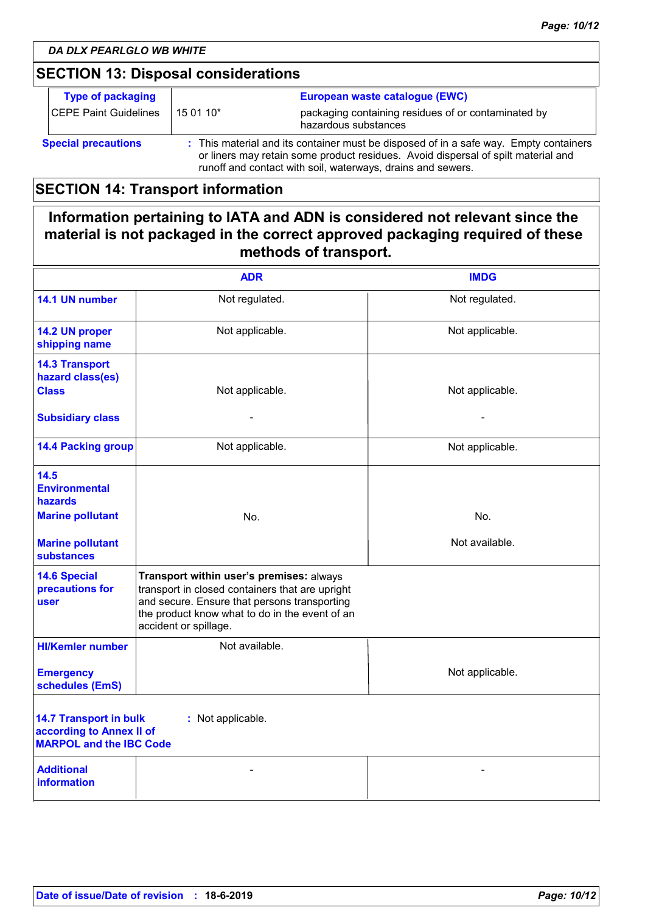### **SECTION 13: Disposal considerations**

| <b>Type of packaging</b><br><b>CEPE Paint Guidelines</b> | 15 01 10*                                                                                                                                                                                                                                 | European waste catalogue (EWC)<br>packaging containing residues of or contaminated by<br>hazardous substances |
|----------------------------------------------------------|-------------------------------------------------------------------------------------------------------------------------------------------------------------------------------------------------------------------------------------------|---------------------------------------------------------------------------------------------------------------|
| <b>Special precautions</b>                               | : This material and its container must be disposed of in a safe way. Empty containers<br>or liners may retain some product residues. Avoid dispersal of spilt material and<br>runoff and contact with soil, waterways, drains and sewers. |                                                                                                               |

### **SECTION 14: Transport information**

### **Information pertaining to IATA and ADN is considered not relevant since the material is not packaged in the correct approved packaging required of these methods of transport.**

|                                                                                                                  | <b>ADR</b>                                                                                                                                                                                                             | <b>IMDG</b>     |  |
|------------------------------------------------------------------------------------------------------------------|------------------------------------------------------------------------------------------------------------------------------------------------------------------------------------------------------------------------|-----------------|--|
| 14.1 UN number                                                                                                   | Not regulated.                                                                                                                                                                                                         | Not regulated.  |  |
| 14.2 UN proper<br>shipping name                                                                                  | Not applicable.                                                                                                                                                                                                        | Not applicable. |  |
| <b>14.3 Transport</b><br>hazard class(es)<br><b>Class</b>                                                        | Not applicable.                                                                                                                                                                                                        | Not applicable. |  |
| <b>Subsidiary class</b>                                                                                          |                                                                                                                                                                                                                        |                 |  |
| <b>14.4 Packing group</b>                                                                                        | Not applicable.                                                                                                                                                                                                        | Not applicable. |  |
| 14.5<br><b>Environmental</b><br><b>hazards</b>                                                                   |                                                                                                                                                                                                                        |                 |  |
| <b>Marine pollutant</b>                                                                                          | No.                                                                                                                                                                                                                    | No.             |  |
| <b>Marine pollutant</b><br><b>substances</b>                                                                     |                                                                                                                                                                                                                        | Not available.  |  |
| <b>14.6 Special</b><br>precautions for<br>user                                                                   | Transport within user's premises: always<br>transport in closed containers that are upright<br>and secure. Ensure that persons transporting<br>the product know what to do in the event of an<br>accident or spillage. |                 |  |
| <b>HI/Kemler number</b>                                                                                          | Not available.                                                                                                                                                                                                         |                 |  |
| <b>Emergency</b><br>schedules (EmS)                                                                              |                                                                                                                                                                                                                        | Not applicable. |  |
| <b>14.7 Transport in bulk</b><br>: Not applicable.<br>according to Annex II of<br><b>MARPOL and the IBC Code</b> |                                                                                                                                                                                                                        |                 |  |
| <b>Additional</b><br><b>information</b>                                                                          |                                                                                                                                                                                                                        |                 |  |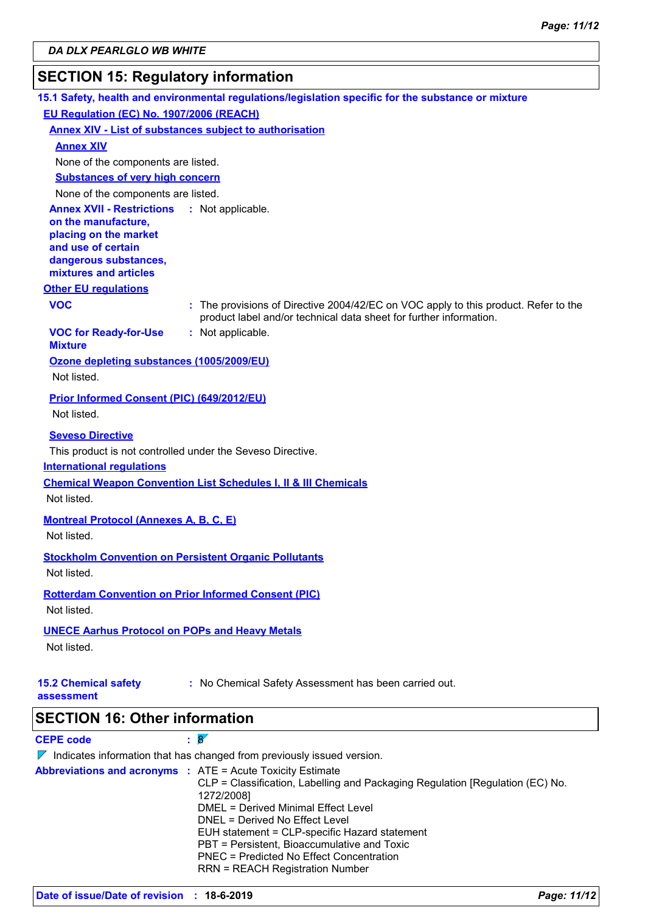## **SECTION 15: Regulatory information**

|                                                         | 15.1 Safety, health and environmental regulations/legislation specific for the substance or mixture                                                |
|---------------------------------------------------------|----------------------------------------------------------------------------------------------------------------------------------------------------|
| EU Regulation (EC) No. 1907/2006 (REACH)                |                                                                                                                                                    |
|                                                         | <b>Annex XIV - List of substances subject to authorisation</b>                                                                                     |
| <b>Annex XIV</b>                                        |                                                                                                                                                    |
| None of the components are listed.                      |                                                                                                                                                    |
| <b>Substances of very high concern</b>                  |                                                                                                                                                    |
| None of the components are listed.                      |                                                                                                                                                    |
| <b>Annex XVII - Restrictions</b><br>on the manufacture, | : Not applicable.                                                                                                                                  |
| placing on the market                                   |                                                                                                                                                    |
| and use of certain                                      |                                                                                                                                                    |
| dangerous substances,<br>mixtures and articles          |                                                                                                                                                    |
| <b>Other EU regulations</b>                             |                                                                                                                                                    |
| <b>VOC</b>                                              | : The provisions of Directive 2004/42/EC on VOC apply to this product. Refer to the                                                                |
|                                                         | product label and/or technical data sheet for further information.                                                                                 |
| <b>VOC for Ready-for-Use</b><br><b>Mixture</b>          | : Not applicable.                                                                                                                                  |
| Ozone depleting substances (1005/2009/EU)               |                                                                                                                                                    |
| Not listed.                                             |                                                                                                                                                    |
| <b>Prior Informed Consent (PIC) (649/2012/EU)</b>       |                                                                                                                                                    |
| Not listed.                                             |                                                                                                                                                    |
| <b>Seveso Directive</b>                                 |                                                                                                                                                    |
|                                                         | This product is not controlled under the Seveso Directive.                                                                                         |
| <b>International requlations</b>                        |                                                                                                                                                    |
|                                                         | <b>Chemical Weapon Convention List Schedules I, II &amp; III Chemicals</b>                                                                         |
| Not listed.                                             |                                                                                                                                                    |
| <b>Montreal Protocol (Annexes A, B, C, E)</b>           |                                                                                                                                                    |
| Not listed.                                             |                                                                                                                                                    |
|                                                         | <b>Stockholm Convention on Persistent Organic Pollutants</b>                                                                                       |
| Not listed.                                             |                                                                                                                                                    |
|                                                         | <b>Rotterdam Convention on Prior Informed Consent (PIC)</b>                                                                                        |
| Not listed.                                             |                                                                                                                                                    |
| <b>UNECE Aarhus Protocol on POPs and Heavy Metals</b>   |                                                                                                                                                    |
| Not listed.                                             |                                                                                                                                                    |
|                                                         |                                                                                                                                                    |
| <b>15.2 Chemical safety</b><br>assessment               | : No Chemical Safety Assessment has been carried out.                                                                                              |
| <b>SECTION 16: Other information</b>                    |                                                                                                                                                    |
|                                                         |                                                                                                                                                    |
| <b>CEPE code</b>                                        | $\mathbf{8}$                                                                                                                                       |
|                                                         | $\nabla$ Indicates information that has changed from previously issued version.                                                                    |
|                                                         | <b>Abbreviations and acronyms : ATE = Acute Toxicity Estimate</b><br>CLP = Classification, Labelling and Packaging Regulation [Regulation (EC) No. |
|                                                         | 1272/2008]<br>DMEL = Derived Minimal Effect Level                                                                                                  |
|                                                         | DNEL = Derived No Effect Level                                                                                                                     |
|                                                         | EUH statement = CLP-specific Hazard statement                                                                                                      |
|                                                         | PBT = Persistent, Bioaccumulative and Toxic<br><b>PNEC = Predicted No Effect Concentration</b>                                                     |

**Date of issue/Date of revision : 18-6-2019** *Page: 11/12*

RRN = REACH Registration Number